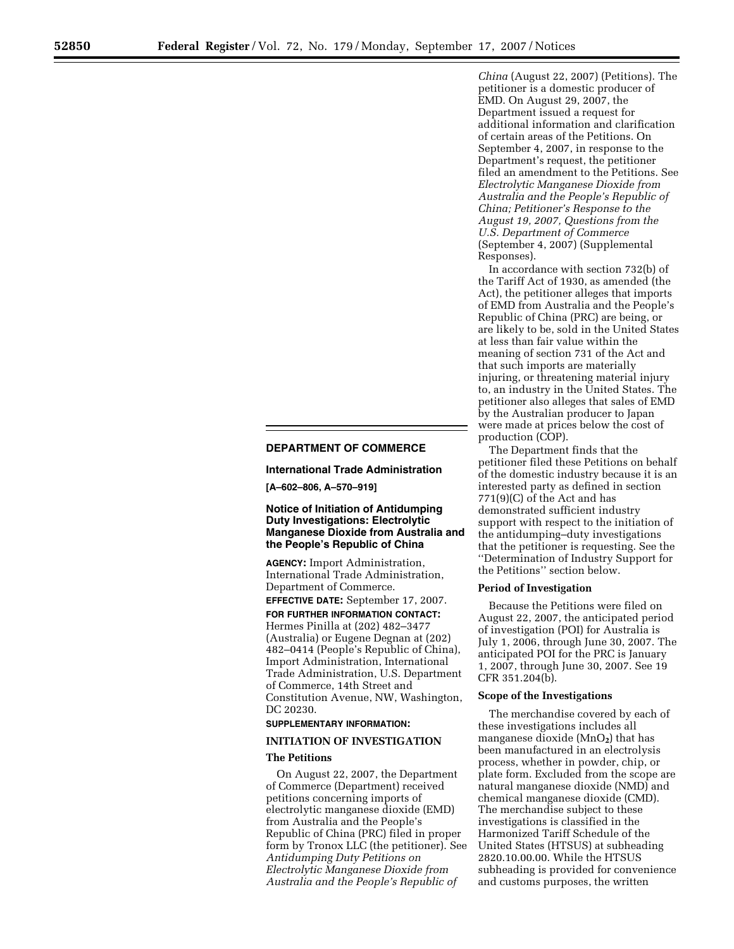# **DEPARTMENT OF COMMERCE**

**International Trade Administration** 

**[A–602–806, A–570–919]** 

# **Notice of Initiation of Antidumping Duty Investigations: Electrolytic Manganese Dioxide from Australia and the People's Republic of China**

**AGENCY:** Import Administration, International Trade Administration, Department of Commerce.

**EFFECTIVE DATE:** September 17, 2007. **FOR FURTHER INFORMATION CONTACT:**  Hermes Pinilla at (202) 482–3477 (Australia) or Eugene Degnan at (202) 482–0414 (People's Republic of China), Import Administration, International Trade Administration, U.S. Department of Commerce, 14th Street and Constitution Avenue, NW, Washington, DC 20230.

## **SUPPLEMENTARY INFORMATION:**

## **INITIATION OF INVESTIGATION**

#### **The Petitions**

On August 22, 2007, the Department of Commerce (Department) received petitions concerning imports of electrolytic manganese dioxide (EMD) from Australia and the People's Republic of China (PRC) filed in proper form by Tronox LLC (the petitioner). See *Antidumping Duty Petitions on Electrolytic Manganese Dioxide from Australia and the People's Republic of* 

*China* (August 22, 2007) (Petitions). The petitioner is a domestic producer of EMD. On August 29, 2007, the Department issued a request for additional information and clarification of certain areas of the Petitions. On September 4, 2007, in response to the Department's request, the petitioner filed an amendment to the Petitions. See *Electrolytic Manganese Dioxide from Australia and the People's Republic of China; Petitioner's Response to the August 19, 2007, Questions from the U.S. Department of Commerce*  (September 4, 2007) (Supplemental Responses).

In accordance with section 732(b) of the Tariff Act of 1930, as amended (the Act), the petitioner alleges that imports of EMD from Australia and the People's Republic of China (PRC) are being, or are likely to be, sold in the United States at less than fair value within the meaning of section 731 of the Act and that such imports are materially injuring, or threatening material injury to, an industry in the United States. The petitioner also alleges that sales of EMD by the Australian producer to Japan were made at prices below the cost of production (COP).

The Department finds that the petitioner filed these Petitions on behalf of the domestic industry because it is an interested party as defined in section 771(9)(C) of the Act and has demonstrated sufficient industry support with respect to the initiation of the antidumping–duty investigations that the petitioner is requesting. See the ''Determination of Industry Support for the Petitions'' section below.

## **Period of Investigation**

Because the Petitions were filed on August 22, 2007, the anticipated period of investigation (POI) for Australia is July 1, 2006, through June 30, 2007. The anticipated POI for the PRC is January 1, 2007, through June 30, 2007. See 19 CFR 351.204(b).

#### **Scope of the Investigations**

The merchandise covered by each of these investigations includes all manganese dioxide (MnO**2**) that has been manufactured in an electrolysis process, whether in powder, chip, or plate form. Excluded from the scope are natural manganese dioxide (NMD) and chemical manganese dioxide (CMD). The merchandise subject to these investigations is classified in the Harmonized Tariff Schedule of the United States (HTSUS) at subheading 2820.10.00.00. While the HTSUS subheading is provided for convenience and customs purposes, the written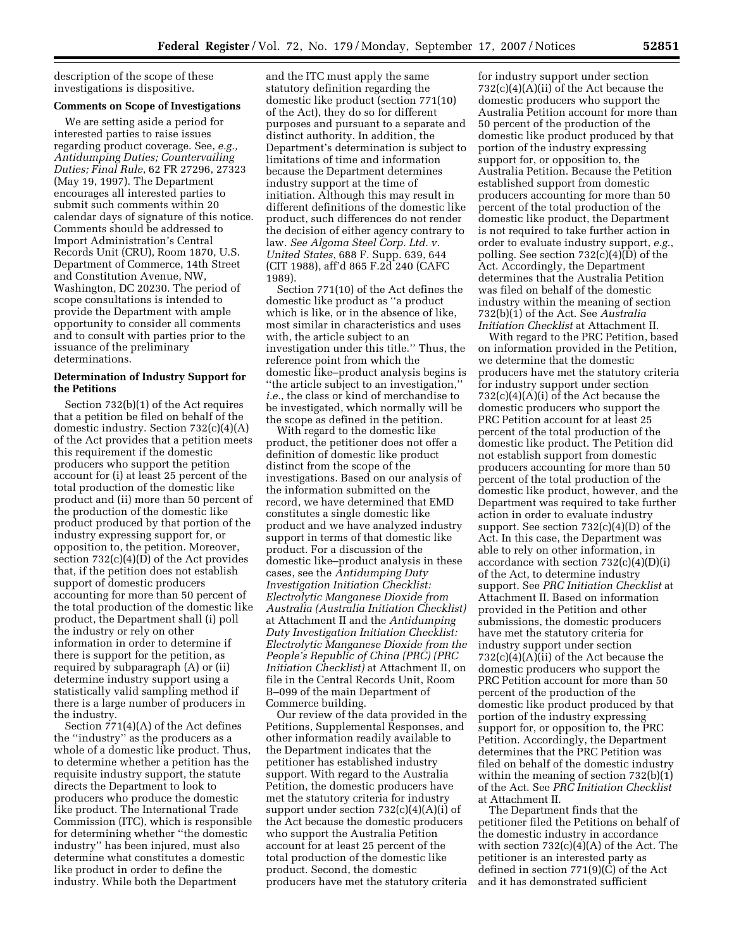description of the scope of these investigations is dispositive.

#### **Comments on Scope of Investigations**

We are setting aside a period for interested parties to raise issues regarding product coverage. See, *e.g., Antidumping Duties; Countervailing Duties; Final Rule*, 62 FR 27296, 27323 (May 19, 1997). The Department encourages all interested parties to submit such comments within 20 calendar days of signature of this notice. Comments should be addressed to Import Administration's Central Records Unit (CRU), Room 1870, U.S. Department of Commerce, 14th Street and Constitution Avenue, NW, Washington, DC 20230. The period of scope consultations is intended to provide the Department with ample opportunity to consider all comments and to consult with parties prior to the issuance of the preliminary determinations.

## **Determination of Industry Support for the Petitions**

Section 732(b)(1) of the Act requires that a petition be filed on behalf of the domestic industry. Section 732(c)(4)(A) of the Act provides that a petition meets this requirement if the domestic producers who support the petition account for (i) at least 25 percent of the total production of the domestic like product and (ii) more than 50 percent of the production of the domestic like product produced by that portion of the industry expressing support for, or opposition to, the petition. Moreover, section  $732(c)(4)(D)$  of the Act provides that, if the petition does not establish support of domestic producers accounting for more than 50 percent of the total production of the domestic like product, the Department shall (i) poll the industry or rely on other information in order to determine if there is support for the petition, as required by subparagraph (A) or (ii) determine industry support using a statistically valid sampling method if there is a large number of producers in the industry.

Section 771(4)(A) of the Act defines the ''industry'' as the producers as a whole of a domestic like product. Thus, to determine whether a petition has the requisite industry support, the statute directs the Department to look to producers who produce the domestic like product. The International Trade Commission (ITC), which is responsible for determining whether ''the domestic industry'' has been injured, must also determine what constitutes a domestic like product in order to define the industry. While both the Department

and the ITC must apply the same statutory definition regarding the domestic like product (section 771(10) of the Act), they do so for different purposes and pursuant to a separate and distinct authority. In addition, the Department's determination is subject to limitations of time and information because the Department determines industry support at the time of initiation. Although this may result in different definitions of the domestic like product, such differences do not render the decision of either agency contrary to law. *See Algoma Steel Corp. Ltd. v. United States*, 688 F. Supp. 639, 644 (CIT 1988), aff'd 865 F.2d 240 (CAFC 1989).

Section 771(10) of the Act defines the domestic like product as ''a product which is like, or in the absence of like, most similar in characteristics and uses with, the article subject to an investigation under this title.'' Thus, the reference point from which the domestic like–product analysis begins is ''the article subject to an investigation,'' *i.e.*, the class or kind of merchandise to be investigated, which normally will be the scope as defined in the petition.

With regard to the domestic like product, the petitioner does not offer a definition of domestic like product distinct from the scope of the investigations. Based on our analysis of the information submitted on the record, we have determined that EMD constitutes a single domestic like product and we have analyzed industry support in terms of that domestic like product. For a discussion of the domestic like–product analysis in these cases, see the *Antidumping Duty Investigation Initiation Checklist: Electrolytic Manganese Dioxide from Australia (Australia Initiation Checklist)*  at Attachment II and the *Antidumping Duty Investigation Initiation Checklist: Electrolytic Manganese Dioxide from the People's Republic of China (PRC) (PRC Initiation Checklist)* at Attachment II, on file in the Central Records Unit, Room B–099 of the main Department of Commerce building.

Our review of the data provided in the Petitions, Supplemental Responses, and other information readily available to the Department indicates that the petitioner has established industry support. With regard to the Australia Petition, the domestic producers have met the statutory criteria for industry support under section  $732(c)(4)(A)(i)$  of the Act because the domestic producers who support the Australia Petition account for at least 25 percent of the total production of the domestic like product. Second, the domestic producers have met the statutory criteria

for industry support under section 732(c)(4)(A)(ii) of the Act because the domestic producers who support the Australia Petition account for more than 50 percent of the production of the domestic like product produced by that portion of the industry expressing support for, or opposition to, the Australia Petition. Because the Petition established support from domestic producers accounting for more than 50 percent of the total production of the domestic like product, the Department is not required to take further action in order to evaluate industry support, *e.g.*, polling. See section 732(c)(4)(D) of the Act. Accordingly, the Department determines that the Australia Petition was filed on behalf of the domestic industry within the meaning of section 732(b)(1) of the Act. See *Australia Initiation Checklist* at Attachment II.

With regard to the PRC Petition, based on information provided in the Petition, we determine that the domestic producers have met the statutory criteria for industry support under section 732(c)(4)(A)(i) of the Act because the domestic producers who support the PRC Petition account for at least 25 percent of the total production of the domestic like product. The Petition did not establish support from domestic producers accounting for more than 50 percent of the total production of the domestic like product, however, and the Department was required to take further action in order to evaluate industry support. See section 732(c)(4)(D) of the Act. In this case, the Department was able to rely on other information, in accordance with section  $732(c)(4)(D)(i)$ of the Act, to determine industry support. See *PRC Initiation Checklist* at Attachment II. Based on information provided in the Petition and other submissions, the domestic producers have met the statutory criteria for industry support under section  $732(c)(4)(A)(ii)$  of the Act because the domestic producers who support the PRC Petition account for more than 50 percent of the production of the domestic like product produced by that portion of the industry expressing support for, or opposition to, the PRC Petition. Accordingly, the Department determines that the PRC Petition was filed on behalf of the domestic industry within the meaning of section 732(b)(1) of the Act. See *PRC Initiation Checklist*  at Attachment II.

The Department finds that the petitioner filed the Petitions on behalf of the domestic industry in accordance with section  $732(c)(4)(A)$  of the Act. The petitioner is an interested party as defined in section 771(9)(C) of the Act and it has demonstrated sufficient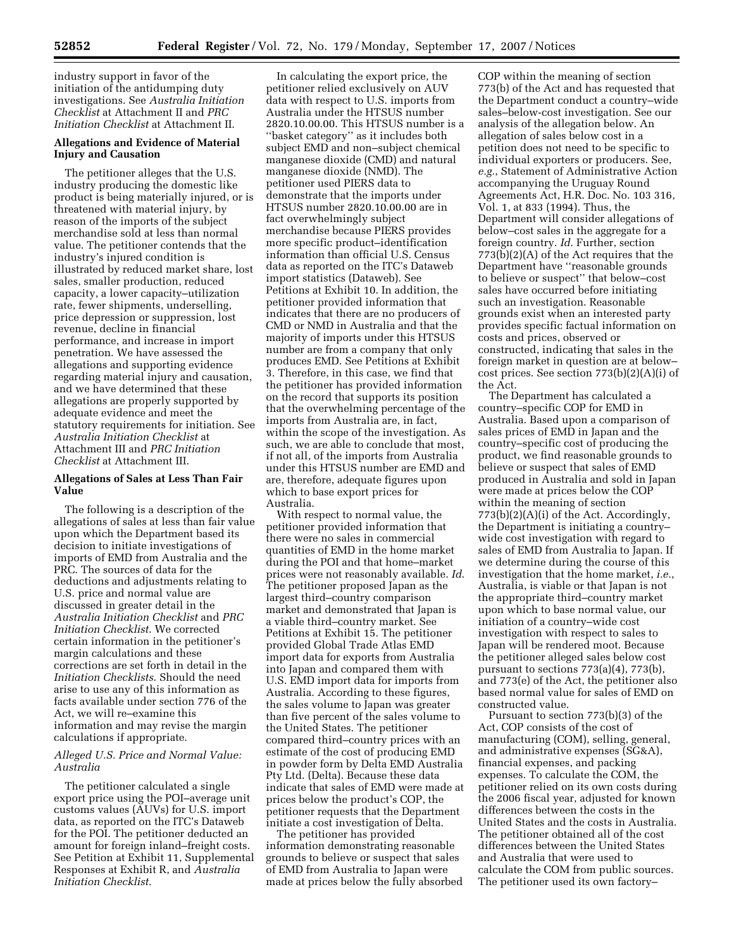industry support in favor of the initiation of the antidumping duty investigations. See *Australia Initiation Checklist* at Attachment II and *PRC Initiation Checklist* at Attachment II.

## **Allegations and Evidence of Material Injury and Causation**

The petitioner alleges that the U.S. industry producing the domestic like product is being materially injured, or is threatened with material injury, by reason of the imports of the subject merchandise sold at less than normal value. The petitioner contends that the industry's injured condition is illustrated by reduced market share, lost sales, smaller production, reduced capacity, a lower capacity–utilization rate, fewer shipments, underselling, price depression or suppression, lost revenue, decline in financial performance, and increase in import penetration. We have assessed the allegations and supporting evidence regarding material injury and causation, and we have determined that these allegations are properly supported by adequate evidence and meet the statutory requirements for initiation. See *Australia Initiation Checklist* at Attachment III and *PRC Initiation Checklist* at Attachment III.

## **Allegations of Sales at Less Than Fair Value**

The following is a description of the allegations of sales at less than fair value upon which the Department based its decision to initiate investigations of imports of EMD from Australia and the PRC. The sources of data for the deductions and adjustments relating to U.S. price and normal value are discussed in greater detail in the *Australia Initiation Checklist* and *PRC Initiation Checklist*. We corrected certain information in the petitioner's margin calculations and these corrections are set forth in detail in the *Initiation Checklists*. Should the need arise to use any of this information as facts available under section 776 of the Act, we will re–examine this information and may revise the margin calculations if appropriate.

## *Alleged U.S. Price and Normal Value: Australia*

The petitioner calculated a single export price using the POI–average unit customs values (AUVs) for U.S. import data, as reported on the ITC's Dataweb for the POI. The petitioner deducted an amount for foreign inland–freight costs. See Petition at Exhibit 11, Supplemental Responses at Exhibit R, and *Australia Initiation Checklist*.

In calculating the export price, the petitioner relied exclusively on AUV data with respect to U.S. imports from Australia under the HTSUS number 2820.10.00.00. This HTSUS number is a ''basket category'' as it includes both subject EMD and non–subject chemical manganese dioxide (CMD) and natural manganese dioxide (NMD). The petitioner used PIERS data to demonstrate that the imports under HTSUS number 2820.10.00.00 are in fact overwhelmingly subject merchandise because PIERS provides more specific product–identification information than official U.S. Census data as reported on the ITC's Dataweb import statistics (Dataweb). See Petitions at Exhibit 10. In addition, the petitioner provided information that indicates that there are no producers of CMD or NMD in Australia and that the majority of imports under this HTSUS number are from a company that only produces EMD. See Petitions at Exhibit 3. Therefore, in this case, we find that the petitioner has provided information on the record that supports its position that the overwhelming percentage of the imports from Australia are, in fact, within the scope of the investigation. As such, we are able to conclude that most, if not all, of the imports from Australia under this HTSUS number are EMD and are, therefore, adequate figures upon which to base export prices for Australia.

With respect to normal value, the petitioner provided information that there were no sales in commercial quantities of EMD in the home market during the POI and that home–market prices were not reasonably available. *Id*. The petitioner proposed Japan as the largest third–country comparison market and demonstrated that Japan is a viable third–country market. See Petitions at Exhibit 15. The petitioner provided Global Trade Atlas EMD import data for exports from Australia into Japan and compared them with U.S. EMD import data for imports from Australia. According to these figures, the sales volume to Japan was greater than five percent of the sales volume to the United States. The petitioner compared third–country prices with an estimate of the cost of producing EMD in powder form by Delta EMD Australia Pty Ltd. (Delta). Because these data indicate that sales of EMD were made at prices below the product's COP, the petitioner requests that the Department initiate a cost investigation of Delta.

The petitioner has provided information demonstrating reasonable grounds to believe or suspect that sales of EMD from Australia to Japan were made at prices below the fully absorbed COP within the meaning of section 773(b) of the Act and has requested that the Department conduct a country–wide sales–below-cost investigation. See our analysis of the allegation below. An allegation of sales below cost in a petition does not need to be specific to individual exporters or producers. See, *e.g.*, Statement of Administrative Action accompanying the Uruguay Round Agreements Act, H.R. Doc. No. 103 316, Vol. 1, at 833 (1994). Thus, the Department will consider allegations of below–cost sales in the aggregate for a foreign country. *Id*. Further, section 773(b)(2)(A) of the Act requires that the Department have ''reasonable grounds to believe or suspect'' that below–cost sales have occurred before initiating such an investigation. Reasonable grounds exist when an interested party provides specific factual information on costs and prices, observed or constructed, indicating that sales in the foreign market in question are at below– cost prices. See section 773(b)(2)(A)(i) of the Act.

The Department has calculated a country–specific COP for EMD in Australia. Based upon a comparison of sales prices of EMD in Japan and the country–specific cost of producing the product, we find reasonable grounds to believe or suspect that sales of EMD produced in Australia and sold in Japan were made at prices below the COP within the meaning of section 773(b)(2)(A)(i) of the Act. Accordingly, the Department is initiating a country– wide cost investigation with regard to sales of EMD from Australia to Japan. If we determine during the course of this investigation that the home market, *i.e.*, Australia, is viable or that Japan is not the appropriate third–country market upon which to base normal value, our initiation of a country–wide cost investigation with respect to sales to Japan will be rendered moot. Because the petitioner alleged sales below cost pursuant to sections 773(a)(4), 773(b), and 773(e) of the Act, the petitioner also based normal value for sales of EMD on constructed value.

Pursuant to section 773(b)(3) of the Act, COP consists of the cost of manufacturing (COM), selling, general, and administrative expenses (SG&A), financial expenses, and packing expenses. To calculate the COM, the petitioner relied on its own costs during the 2006 fiscal year, adjusted for known differences between the costs in the United States and the costs in Australia. The petitioner obtained all of the cost differences between the United States and Australia that were used to calculate the COM from public sources. The petitioner used its own factory–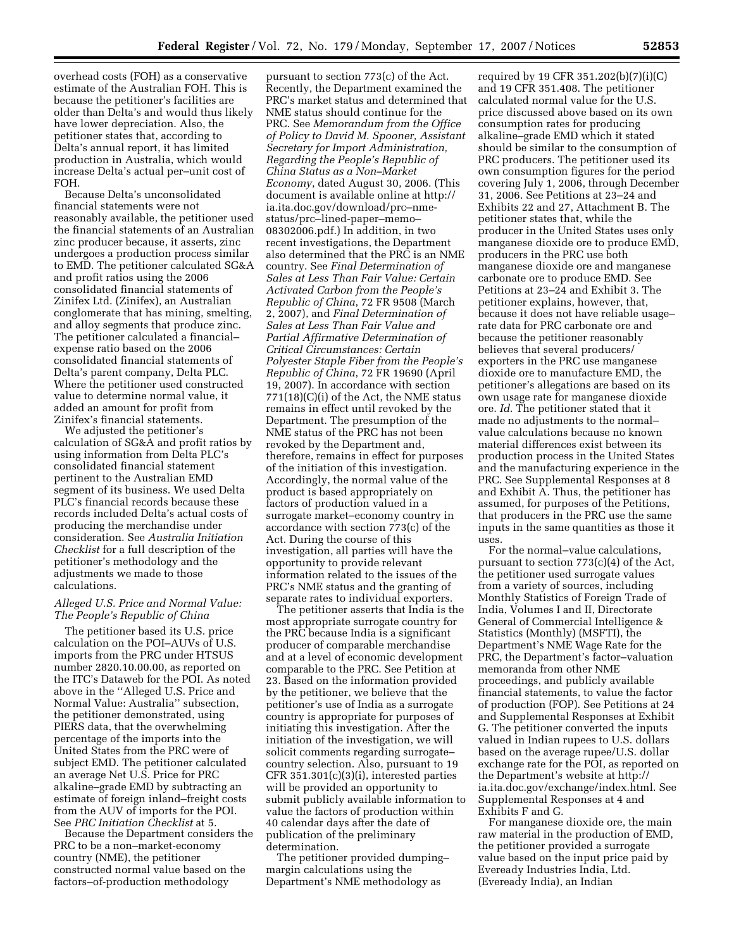overhead costs (FOH) as a conservative estimate of the Australian FOH. This is because the petitioner's facilities are older than Delta's and would thus likely have lower depreciation. Also, the petitioner states that, according to Delta's annual report, it has limited production in Australia, which would increase Delta's actual per–unit cost of FOH.

Because Delta's unconsolidated financial statements were not reasonably available, the petitioner used the financial statements of an Australian zinc producer because, it asserts, zinc undergoes a production process similar to EMD. The petitioner calculated SG&A and profit ratios using the 2006 consolidated financial statements of Zinifex Ltd. (Zinifex), an Australian conglomerate that has mining, smelting, and alloy segments that produce zinc. The petitioner calculated a financial– expense ratio based on the 2006 consolidated financial statements of Delta's parent company, Delta PLC. Where the petitioner used constructed value to determine normal value, it added an amount for profit from Zinifex's financial statements.

We adjusted the petitioner's calculation of SG&A and profit ratios by using information from Delta PLC's consolidated financial statement pertinent to the Australian EMD segment of its business. We used Delta PLC's financial records because these records included Delta's actual costs of producing the merchandise under consideration. See *Australia Initiation Checklist* for a full description of the petitioner's methodology and the adjustments we made to those calculations.

## *Alleged U.S. Price and Normal Value: The People's Republic of China*

The petitioner based its U.S. price calculation on the POI–AUVs of U.S. imports from the PRC under HTSUS number 2820.10.00.00, as reported on the ITC's Dataweb for the POI. As noted above in the ''Alleged U.S. Price and Normal Value: Australia'' subsection, the petitioner demonstrated, using PIERS data, that the overwhelming percentage of the imports into the United States from the PRC were of subject EMD. The petitioner calculated an average Net U.S. Price for PRC alkaline–grade EMD by subtracting an estimate of foreign inland–freight costs from the AUV of imports for the POI. See *PRC Initiation Checklist* at 5.

Because the Department considers the PRC to be a non–market-economy country (NME), the petitioner constructed normal value based on the factors–of-production methodology

pursuant to section 773(c) of the Act. Recently, the Department examined the PRC's market status and determined that NME status should continue for the PRC. See *Memorandum from the Office of Policy to David M. Spooner, Assistant Secretary for Import Administration, Regarding the People's Republic of China Status as a Non–Market Economy*, dated August 30, 2006. (This document is available online at http:// ia.ita.doc.gov/download/prc–nmestatus/prc–lined-paper–memo– 08302006.pdf.) In addition, in two recent investigations, the Department also determined that the PRC is an NME country. See *Final Determination of Sales at Less Than Fair Value: Certain Activated Carbon from the People's Republic of China*, 72 FR 9508 (March 2, 2007), and *Final Determination of Sales at Less Than Fair Value and Partial Affirmative Determination of Critical Circumstances: Certain Polyester Staple Fiber from the People's Republic of China*, 72 FR 19690 (April 19, 2007). In accordance with section 771(18)(C)(i) of the Act, the NME status remains in effect until revoked by the Department. The presumption of the NME status of the PRC has not been revoked by the Department and, therefore, remains in effect for purposes of the initiation of this investigation. Accordingly, the normal value of the product is based appropriately on factors of production valued in a surrogate market–economy country in accordance with section 773(c) of the Act. During the course of this investigation, all parties will have the opportunity to provide relevant information related to the issues of the PRC's NME status and the granting of separate rates to individual exporters.

The petitioner asserts that India is the most appropriate surrogate country for the PRC because India is a significant producer of comparable merchandise and at a level of economic development comparable to the PRC. See Petition at 23. Based on the information provided by the petitioner, we believe that the petitioner's use of India as a surrogate country is appropriate for purposes of initiating this investigation. After the initiation of the investigation, we will solicit comments regarding surrogate– country selection. Also, pursuant to 19 CFR 351.301(c)(3)(i), interested parties will be provided an opportunity to submit publicly available information to value the factors of production within 40 calendar days after the date of publication of the preliminary determination.

The petitioner provided dumping– margin calculations using the Department's NME methodology as

required by 19 CFR 351.202(b)(7)(i)(C) and 19 CFR 351.408. The petitioner calculated normal value for the U.S. price discussed above based on its own consumption rates for producing alkaline–grade EMD which it stated should be similar to the consumption of PRC producers. The petitioner used its own consumption figures for the period covering July 1, 2006, through December 31, 2006. See Petitions at 23–24 and Exhibits 22 and 27, Attachment B. The petitioner states that, while the producer in the United States uses only manganese dioxide ore to produce EMD, producers in the PRC use both manganese dioxide ore and manganese carbonate ore to produce EMD. See Petitions at 23–24 and Exhibit 3. The petitioner explains, however, that, because it does not have reliable usage– rate data for PRC carbonate ore and because the petitioner reasonably believes that several producers/ exporters in the PRC use manganese dioxide ore to manufacture EMD, the petitioner's allegations are based on its own usage rate for manganese dioxide ore. *Id*. The petitioner stated that it made no adjustments to the normal– value calculations because no known material differences exist between its production process in the United States and the manufacturing experience in the PRC. See Supplemental Responses at 8 and Exhibit A. Thus, the petitioner has assumed, for purposes of the Petitions, that producers in the PRC use the same inputs in the same quantities as those it uses.

For the normal–value calculations, pursuant to section 773(c)(4) of the Act, the petitioner used surrogate values from a variety of sources, including Monthly Statistics of Foreign Trade of India, Volumes I and II, Directorate General of Commercial Intelligence & Statistics (Monthly) (MSFTI), the Department's NME Wage Rate for the PRC, the Department's factor–valuation memoranda from other NME proceedings, and publicly available financial statements, to value the factor of production (FOP). See Petitions at 24 and Supplemental Responses at Exhibit G. The petitioner converted the inputs valued in Indian rupees to U.S. dollars based on the average rupee/U.S. dollar exchange rate for the POI, as reported on the Department's website at http:// ia.ita.doc.gov/exchange/index.html. See Supplemental Responses at 4 and Exhibits F and G.

For manganese dioxide ore, the main raw material in the production of EMD, the petitioner provided a surrogate value based on the input price paid by Eveready Industries India, Ltd. (Eveready India), an Indian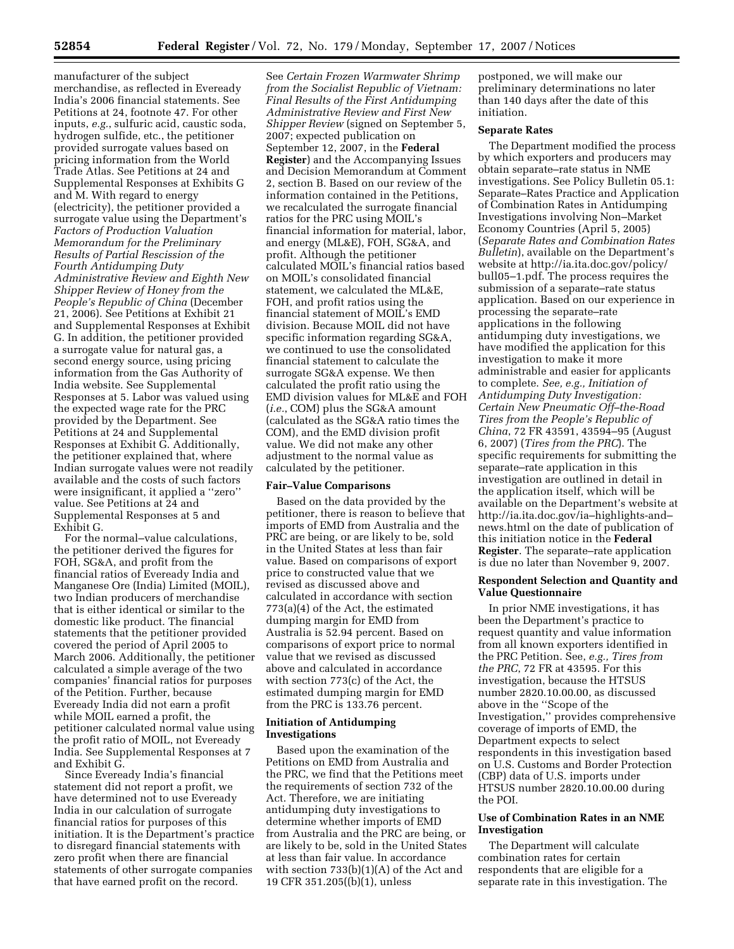manufacturer of the subject merchandise, as reflected in Eveready India's 2006 financial statements. See Petitions at 24, footnote 47. For other inputs, *e.g.*, sulfuric acid, caustic soda, hydrogen sulfide, etc., the petitioner provided surrogate values based on pricing information from the World Trade Atlas. See Petitions at 24 and Supplemental Responses at Exhibits G and M. With regard to energy (electricity), the petitioner provided a surrogate value using the Department's *Factors of Production Valuation Memorandum for the Preliminary Results of Partial Rescission of the Fourth Antidumping Duty Administrative Review and Eighth New Shipper Review of Honey from the People's Republic of China* (December 21, 2006). See Petitions at Exhibit 21 and Supplemental Responses at Exhibit G. In addition, the petitioner provided a surrogate value for natural gas, a second energy source, using pricing information from the Gas Authority of India website. See Supplemental Responses at 5. Labor was valued using the expected wage rate for the PRC provided by the Department. See Petitions at 24 and Supplemental Responses at Exhibit G. Additionally, the petitioner explained that, where Indian surrogate values were not readily available and the costs of such factors were insignificant, it applied a ''zero'' value. See Petitions at 24 and Supplemental Responses at 5 and Exhibit G.

For the normal–value calculations, the petitioner derived the figures for FOH, SG&A, and profit from the financial ratios of Eveready India and Manganese Ore (India) Limited (MOIL), two Indian producers of merchandise that is either identical or similar to the domestic like product. The financial statements that the petitioner provided covered the period of April 2005 to March 2006. Additionally, the petitioner calculated a simple average of the two companies' financial ratios for purposes of the Petition. Further, because Eveready India did not earn a profit while MOIL earned a profit, the petitioner calculated normal value using the profit ratio of MOIL, not Eveready India. See Supplemental Responses at 7 and Exhibit G.

Since Eveready India's financial statement did not report a profit, we have determined not to use Eveready India in our calculation of surrogate financial ratios for purposes of this initiation. It is the Department's practice to disregard financial statements with zero profit when there are financial statements of other surrogate companies that have earned profit on the record.

See *Certain Frozen Warmwater Shrimp from the Socialist Republic of Vietnam: Final Results of the First Antidumping Administrative Review and First New Shipper Review* (signed on September 5, 2007; expected publication on September 12, 2007, in the **Federal Register**) and the Accompanying Issues and Decision Memorandum at Comment 2, section B. Based on our review of the information contained in the Petitions, we recalculated the surrogate financial ratios for the PRC using MOIL's financial information for material, labor, and energy (ML&E), FOH, SG&A, and profit. Although the petitioner calculated MOIL's financial ratios based on MOIL's consolidated financial statement, we calculated the ML&E, FOH, and profit ratios using the financial statement of MOIL's EMD division. Because MOIL did not have specific information regarding SG&A, we continued to use the consolidated financial statement to calculate the surrogate SG&A expense. We then calculated the profit ratio using the EMD division values for ML&E and FOH (*i.e.*, COM) plus the SG&A amount (calculated as the SG&A ratio times the COM), and the EMD division profit value. We did not make any other adjustment to the normal value as calculated by the petitioner.

#### **Fair–Value Comparisons**

Based on the data provided by the petitioner, there is reason to believe that imports of EMD from Australia and the PRC are being, or are likely to be, sold in the United States at less than fair value. Based on comparisons of export price to constructed value that we revised as discussed above and calculated in accordance with section 773(a)(4) of the Act, the estimated dumping margin for EMD from Australia is 52.94 percent. Based on comparisons of export price to normal value that we revised as discussed above and calculated in accordance with section 773(c) of the Act, the estimated dumping margin for EMD from the PRC is 133.76 percent.

### **Initiation of Antidumping Investigations**

Based upon the examination of the Petitions on EMD from Australia and the PRC, we find that the Petitions meet the requirements of section 732 of the Act. Therefore, we are initiating antidumping duty investigations to determine whether imports of EMD from Australia and the PRC are being, or are likely to be, sold in the United States at less than fair value. In accordance with section 733(b)(1)(A) of the Act and 19 CFR 351.205((b)(1), unless

postponed, we will make our preliminary determinations no later than 140 days after the date of this initiation.

## **Separate Rates**

The Department modified the process by which exporters and producers may obtain separate–rate status in NME investigations. See Policy Bulletin 05.1: Separate–Rates Practice and Application of Combination Rates in Antidumping Investigations involving Non–Market Economy Countries (April 5, 2005) (*Separate Rates and Combination Rates Bulletin*), available on the Department's website at http://ia.ita.doc.gov/policy/ bull05–1.pdf. The process requires the submission of a separate–rate status application. Based on our experience in processing the separate–rate applications in the following antidumping duty investigations, we have modified the application for this investigation to make it more administrable and easier for applicants to complete. *See, e.g., Initiation of Antidumping Duty Investigation: Certain New Pneumatic Off–the-Road Tires from the People's Republic of China*, 72 FR 43591, 43594–95 (August 6, 2007) (*Tires from the PRC*). The specific requirements for submitting the separate–rate application in this investigation are outlined in detail in the application itself, which will be available on the Department's website at http://ia.ita.doc.gov/ia–highlights-and– news.html on the date of publication of this initiation notice in the **Federal Register**. The separate–rate application is due no later than November 9, 2007.

## **Respondent Selection and Quantity and Value Questionnaire**

In prior NME investigations, it has been the Department's practice to request quantity and value information from all known exporters identified in the PRC Petition. See, *e.g., Tires from the PRC*, 72 FR at 43595. For this investigation, because the HTSUS number 2820.10.00.00, as discussed above in the ''Scope of the Investigation,'' provides comprehensive coverage of imports of EMD, the Department expects to select respondents in this investigation based on U.S. Customs and Border Protection (CBP) data of U.S. imports under HTSUS number 2820.10.00.00 during the POI.

# **Use of Combination Rates in an NME Investigation**

The Department will calculate combination rates for certain respondents that are eligible for a separate rate in this investigation. The